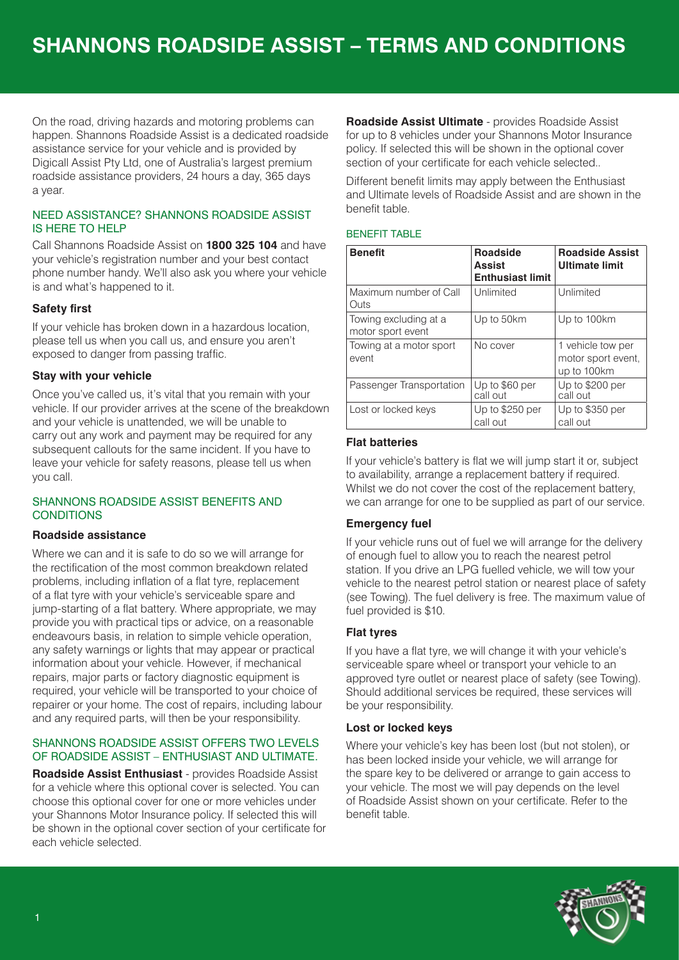On the road, driving hazards and motoring problems can happen. Shannons Roadside Assist is a dedicated roadside assistance service for your vehicle and is provided by Digicall Assist Pty Ltd, one of Australia's largest premium roadside assistance providers, 24 hours a day, 365 days a year.

### NEED ASSISTANCE? SHANNONS ROADSIDE ASSIST IS HERE TO HELP

Call Shannons Roadside Assist on **1800 325 104** and have your vehicle's registration number and your best contact phone number handy. We'll also ask you where your vehicle is and what's happened to it.

## **Safety first**

If your vehicle has broken down in a hazardous location, please tell us when you call us, and ensure you aren't exposed to danger from passing traffic.

## **Stay with your vehicle**

Once you've called us, it's vital that you remain with your vehicle. If our provider arrives at the scene of the breakdown and your vehicle is unattended, we will be unable to carry out any work and payment may be required for any subsequent callouts for the same incident. If you have to leave your vehicle for safety reasons, please tell us when you call.

## SHANNONS ROADSIDE ASSIST BENEFITS AND **CONDITIONS**

#### **Roadside assistance**

Where we can and it is safe to do so we will arrange for the rectification of the most common breakdown related problems, including inflation of a flat tyre, replacement of a flat tyre with your vehicle's serviceable spare and jump-starting of a flat battery. Where appropriate, we may provide you with practical tips or advice, on a reasonable endeavours basis, in relation to simple vehicle operation, any safety warnings or lights that may appear or practical information about your vehicle. However, if mechanical repairs, major parts or factory diagnostic equipment is required, your vehicle will be transported to your choice of repairer or your home. The cost of repairs, including labour and any required parts, will then be your responsibility.

#### SHANNONS ROADSIDE ASSIST OFFERS TWO LEVELS OF ROADSIDE ASSIST – ENTHUSIAST AND ULTIMATE.

**Roadside Assist Enthusiast** - provides Roadside Assist for a vehicle where this optional cover is selected. You can choose this optional cover for one or more vehicles under your Shannons Motor Insurance policy. If selected this will be shown in the optional cover section of your certificate for each vehicle selected.

**Roadside Assist Ultimate** - provides Roadside Assist for up to 8 vehicles under your Shannons Motor Insurance policy. If selected this will be shown in the optional cover section of your certificate for each vehicle selected..

Different benefit limits may apply between the Enthusiast and Ultimate levels of Roadside Assist and are shown in the benefit table.

#### BENEFIT TABLE

| <b>Benefit</b>                             | <b>Roadside</b><br><b>Assist</b><br><b>Enthusiast limit</b> | <b>Roadside Assist</b><br><b>Ultimate limit</b>        |
|--------------------------------------------|-------------------------------------------------------------|--------------------------------------------------------|
| Maximum number of Call<br>Outs             | Unlimited                                                   | Unlimited                                              |
| Towing excluding at a<br>motor sport event | Up to 50km                                                  | Up to 100km                                            |
| Towing at a motor sport<br>event           | No cover                                                    | 1 vehicle tow per<br>motor sport event,<br>up to 100km |
| Passenger Transportation                   | Up to \$60 per<br>call out                                  | Up to \$200 per<br>call out                            |
| Lost or locked keys                        | Up to \$250 per<br>call out                                 | Up to \$350 per<br>call out                            |

## **Flat batteries**

If your vehicle's battery is flat we will jump start it or, subject to availability, arrange a replacement battery if required. Whilst we do not cover the cost of the replacement battery, we can arrange for one to be supplied as part of our service.

## **Emergency fuel**

If your vehicle runs out of fuel we will arrange for the delivery of enough fuel to allow you to reach the nearest petrol station. If you drive an LPG fuelled vehicle, we will tow your vehicle to the nearest petrol station or nearest place of safety (see Towing). The fuel delivery is free. The maximum value of fuel provided is \$10.

## **Flat tyres**

If you have a flat tyre, we will change it with your vehicle's serviceable spare wheel or transport your vehicle to an approved tyre outlet or nearest place of safety (see Towing). Should additional services be required, these services will be your responsibility.

## **Lost or locked keys**

Where your vehicle's key has been lost (but not stolen), or has been locked inside your vehicle, we will arrange for the spare key to be delivered or arrange to gain access to your vehicle. The most we will pay depends on the level of Roadside Assist shown on your certificate. Refer to the benefit table.

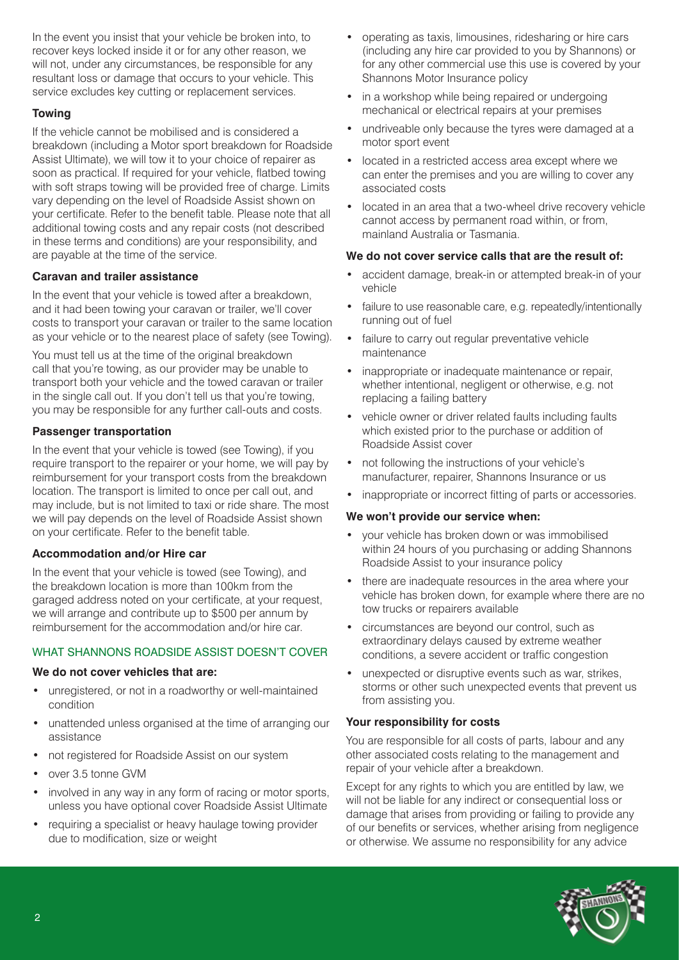In the event you insist that your vehicle be broken into, to recover keys locked inside it or for any other reason, we will not, under any circumstances, be responsible for any resultant loss or damage that occurs to your vehicle. This service excludes key cutting or replacement services.

### **Towing**

If the vehicle cannot be mobilised and is considered a breakdown (including a Motor sport breakdown for Roadside Assist Ultimate), we will tow it to your choice of repairer as soon as practical. If required for your vehicle, flatbed towing with soft straps towing will be provided free of charge. Limits vary depending on the level of Roadside Assist shown on your certificate. Refer to the benefit table. Please note that all additional towing costs and any repair costs (not described in these terms and conditions) are your responsibility, and are payable at the time of the service.

### **Caravan and trailer assistance**

In the event that your vehicle is towed after a breakdown, and it had been towing your caravan or trailer, we'll cover costs to transport your caravan or trailer to the same location as your vehicle or to the nearest place of safety (see Towing).

You must tell us at the time of the original breakdown call that you're towing, as our provider may be unable to transport both your vehicle and the towed caravan or trailer in the single call out. If you don't tell us that you're towing, you may be responsible for any further call-outs and costs.

### **Passenger transportation**

In the event that your vehicle is towed (see Towing), if you require transport to the repairer or your home, we will pay by reimbursement for your transport costs from the breakdown location. The transport is limited to once per call out, and may include, but is not limited to taxi or ride share. The most we will pay depends on the level of Roadside Assist shown on your certificate. Refer to the benefit table.

#### **Accommodation and/or Hire car**

In the event that your vehicle is towed (see Towing), and the breakdown location is more than 100km from the garaged address noted on your certificate, at your request, we will arrange and contribute up to \$500 per annum by reimbursement for the accommodation and/or hire car.

## WHAT SHANNONS ROADSIDE ASSIST DOESN'T COVER

## **We do not cover vehicles that are:**

- unregistered, or not in a roadworthy or well-maintained condition
- unattended unless organised at the time of arranging our assistance
- not registered for Roadside Assist on our system
- over 3.5 tonne GVM
- involved in any way in any form of racing or motor sports, unless you have optional cover Roadside Assist Ultimate
- requiring a specialist or heavy haulage towing provider due to modification, size or weight
- operating as taxis, limousines, ridesharing or hire cars (including any hire car provided to you by Shannons) or for any other commercial use this use is covered by your Shannons Motor Insurance policy
- in a workshop while being repaired or undergoing mechanical or electrical repairs at your premises
- undriveable only because the tyres were damaged at a motor sport event
- located in a restricted access area except where we can enter the premises and you are willing to cover any associated costs
- located in an area that a two-wheel drive recovery vehicle cannot access by permanent road within, or from, mainland Australia or Tasmania.

# **We do not cover service calls that are the result of:**

- accident damage, break-in or attempted break-in of your vehicle
- failure to use reasonable care, e.g. repeatedly/intentionally running out of fuel
- failure to carry out regular preventative vehicle maintenance
- inappropriate or inadequate maintenance or repair, whether intentional, negligent or otherwise, e.g. not replacing a failing battery
- vehicle owner or driver related faults including faults which existed prior to the purchase or addition of Roadside Assist cover
- not following the instructions of your vehicle's manufacturer, repairer, Shannons Insurance or us
- inappropriate or incorrect fitting of parts or accessories.

## **We won't provide our service when:**

- your vehicle has broken down or was immobilised within 24 hours of you purchasing or adding Shannons Roadside Assist to your insurance policy
- there are inadequate resources in the area where your vehicle has broken down, for example where there are no tow trucks or repairers available
- circumstances are beyond our control, such as extraordinary delays caused by extreme weather conditions, a severe accident or traffic congestion
- unexpected or disruptive events such as war, strikes, storms or other such unexpected events that prevent us from assisting you.

## **Your responsibility for costs**

You are responsible for all costs of parts, labour and any other associated costs relating to the management and repair of your vehicle after a breakdown.

Except for any rights to which you are entitled by law, we will not be liable for any indirect or consequential loss or damage that arises from providing or failing to provide any of our benefits or services, whether arising from negligence or otherwise. We assume no responsibility for any advice